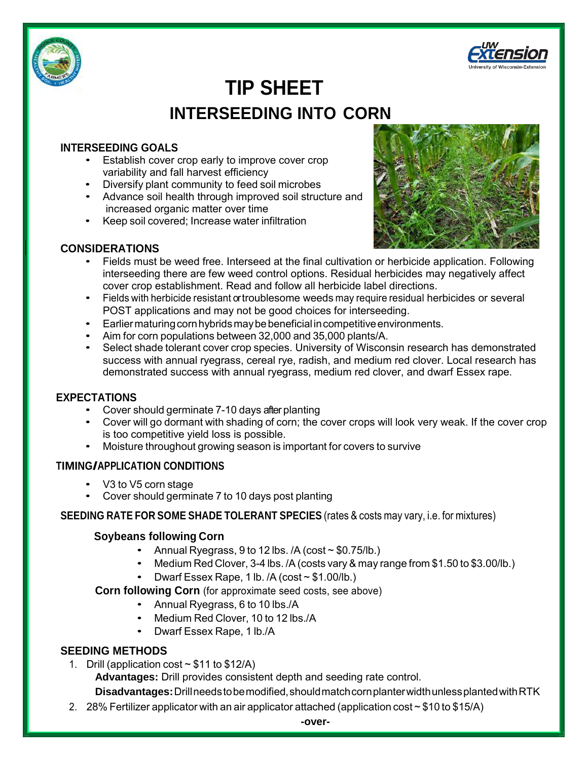



# **TIP SHEET INTERSEEDING INTO CORN**

## **INTERSEEDING GOALS**

- Establish cover crop early to improve cover crop variability and fall harvest efficiency
- Diversify plant community to feed soil microbes
- Advance soil health through improved soil structure and increased organic matter over time
- Keep soil covered; Increase water infiltration



# **CONSIDERATIONS**

- Fields must be weed free. Interseed at the final cultivation or herbicide application. Following interseeding there are few weed control options. Residual herbicides may negatively affect cover crop establishment. Read and follow all herbicide label directions.
- Fields with herbicide resistant or troublesome weeds may require residual herbicides or several POST applications and may not be good choices for interseeding.
- Earlier maturing corn hybrids may be beneficial in competitive environments.
- Aim for corn populations between 32,000 and 35,000 plants/A.
- Select shade tolerant cover crop species. University of Wisconsin research has demonstrated success with annual ryegrass, cereal rye, radish, and medium red clover. Local research has demonstrated success with annual ryegrass, medium red clover, and dwarf Essex rape.

#### **EXPECTATIONS**

- Cover should germinate 7-10 days after planting
- Cover will go dormant with shading of corn; the cover crops will look very weak. If the cover crop is too competitive yield loss is possible.
- Moisture throughout growing season is important for covers to survive

#### **TIMING/APPLICATION CONDITIONS**

- V3 to V5 corn stage
- Cover should germinate 7 to 10 days post planting

#### **SEEDING RATE FOR SOME SHADE TOLERANT SPECIES** (rates & costs may vary, i.e. for mixtures)

#### **Soybeans following Corn**

- Annual Ryegrass, 9 to 12 lbs.  $/A$  (cost  $\sim$  \$0.75/lb.)
- Medium Red Clover, 3-4 lbs. /A (costs vary & may range from \$1.50 to \$3.00/lb.)
- Dwarf Essex Rape, 1 lb. /A (cost ~ \$1.00/lb.)

#### **Corn following Corn** (for approximate seed costs, see above)

- Annual Ryegrass, 6 to 10 lbs./A
- Medium Red Clover, 10 to 12 lbs./A
- Dwarf Essex Rape, 1 lb./A

#### **SEEDING METHODS**

1. Drill (application cost  $\sim$  \$11 to \$12/A)

**Advantages:** Drill provides consistent depth and seeding rate control.

**Disadvantages:** Drill needstobe modified, should match corn planter width unless planted with RTK

2. 28% Fertilizer applicator with an air applicator attached (application cost  $\sim$  \$10 to \$15/A)